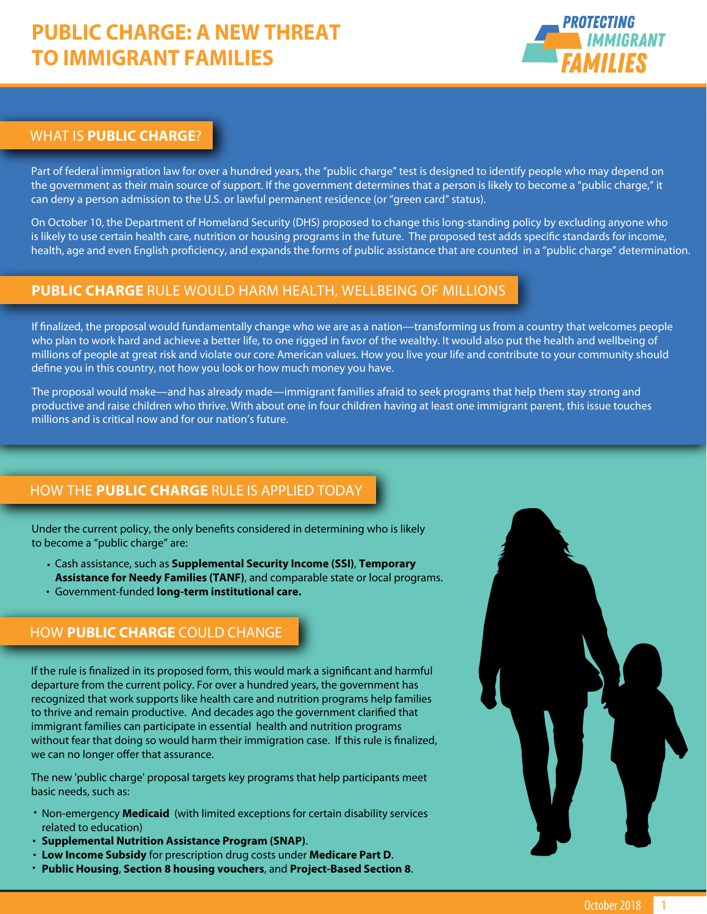# **PUBLIC CHARGE: A NEW THREAT TO IMMIGRANT FAMILIES**



### WHAT IS **PUBLIC CHARGE**?

Part of federal immigration law for over a hundred years, the "public charge" test is designed to identify people who may depend on the government as their main source of support. If the government determines that a person is likely to become a "public charge," it can deny a person admission to the U.S. or lawful permanent residence (or "green card" status).

On October 10, the Department of Homeland Security (DHS) proposed to change this long-standing policy by excluding anyone who is likely to use certain health care, nutrition or housing programs in the future. The proposed test adds specific standards for income, health, age and even English proficiency, and expands the forms of public assistance that are counted in a "public charge" determination.

## **PUBLIC CHARGE** RULE WOULD HARM HEALTH, WELLBEING OF MILLIONS

If finalized, the proposal would fundamentally change who we are as a nation—transforming us from a country that welcomes people who plan to work hard and achieve a better life, to one rigged in favor of the wealthy. It would also put the health and wellbeing of millions of people at great risk and violate our core American values. How you live your life and contribute to your community should define you in this country, not how you look or how much money you have.

The proposal would make—and has already made—immigrant families afraid to seek programs that help them stay strong and productive and raise children who thrive. With about one in four children having at least one immigrant parent, this issue touches millions and is critical now and for our nation's future.

# HOW THE **PUBLIC CHARGE** RULE IS APPLIED TODAY

Under the current policy, the only benefits considered in determining who is likely to become a "public charge" are:

 • Cash assistance, such as **Supplemental Security Income (SSI)**, **Temporary** • Government-funded **long-term institutional care. Assistance for Needy Families (TANF)**, and comparable state or local programs.

# HOW **PUBLIC CHARGE** COULD CHANGE

If the rule is finalized in its proposed form, this would mark a significant and harmful departure from the current policy. For over a hundred years, the government has recognized that work supports like health care and nutrition programs help families to thrive and remain productive. And decades ago the government clarified that immigrant families can participate in essential health and nutrition programs without fear that doing so would harm their immigration case. If this rule is finalized, we can no longer offer that assurance.

The new 'public charge' proposal targets key programs that help participants meet basic needs, such as:

- Non-emergency **Medicaid** (with limited exceptions for certain disability services related to education)
- **· Supplemental Nutrition Assistance Program (SNAP).**
- **Low Income Subsidy** for prescription drug costs under **Medicare Part D**.
	- **Public Housing**, **Section 8 housing vouchers**, and **Project-Based Section 8**. •